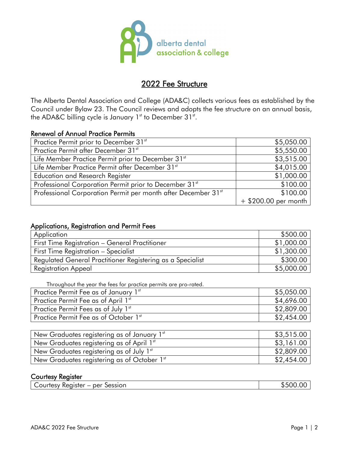

# 2022 Fee Structure

The Alberta Dental Association and College (ADA&C) collects various fees as established by the Council under Bylaw 23. The Council reviews and adopts the fee structure on an annual basis, the ADA&C billing cycle is January  $1<sup>st</sup>$  to December 31 $<sup>st</sup>$ .</sup>

### Renewal of Annual Practice Permits

| Practice Permit prior to December 31st                                    | \$5,050.00             |
|---------------------------------------------------------------------------|------------------------|
| Practice Permit after December 31st                                       | \$5,550.00             |
| Life Member Practice Permit prior to December 31 <sup>st</sup>            | \$3,515.00             |
| Life Member Practice Permit after December 31st                           | \$4,015.00             |
| Education and Research Register                                           | \$1,000.00             |
| Professional Corporation Permit prior to December 31st                    | \$100.00               |
| Professional Corporation Permit per month after December 31 <sup>st</sup> | \$100.00               |
|                                                                           | $+$ \$200.00 per month |

### Applications, Registration and Permit Fees

| Application                                                | \$500.00   |
|------------------------------------------------------------|------------|
| First Time Registration - General Practitioner             | \$1,000.00 |
| First Time Registration - Specialist                       | \$1,300.00 |
| Regulated General Practitioner Registering as a Specialist | \$300.00   |
| <b>Registration Appeal</b>                                 | \$5,000.00 |

Throughout the year the fees for practice permits are pro-rated.

| Practice Permit Fee as of January 1st | \$5,050.00 |
|---------------------------------------|------------|
| Practice Permit Fee as of April 1st   | \$4,696.00 |
| Practice Permit Fees as of July 1st   | \$2,809.00 |
| Practice Permit Fee as of October 1st | \$2,454.00 |

| New Graduates registering as of January $1st$ | \$3,515.00 |
|-----------------------------------------------|------------|
| New Graduates registering as of April 1st     | \$3,161.00 |
| New Graduates registering as of July $1st$    | \$2,809.00 |
| New Graduates registering as of October 1st   | \$2,454.00 |

### Courtesy Register

|  | Courtesy Register<br>per<br>Session | \$500.<br>UU. |
|--|-------------------------------------|---------------|
|--|-------------------------------------|---------------|